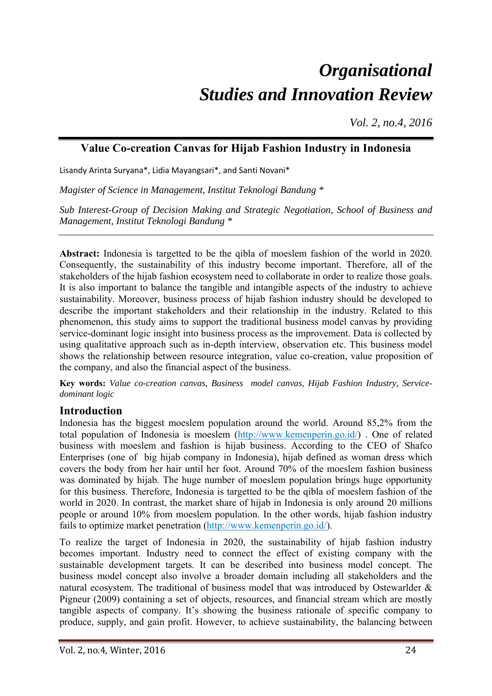# *Organisational Studies and Innovation Review*

*Vol. 2, no.4, 2016*

# **Value Co-creation Canvas for Hijab Fashion Industry in Indonesia**

Lisandy Arinta Suryana\*, Lidia Mayangsari\*, and Santi Novani\*

*Magister of Science in Management, Institut Teknologi Bandung \** 

*Sub Interest-Group of Decision Making and Strategic Negotiation, School of Business and Management, Institut Teknologi Bandung \** 

**Abstract:** Indonesia is targetted to be the qibla of moeslem fashion of the world in 2020. Consequently, the sustainability of this industry become important. Therefore, all of the stakeholders of the hijab fashion ecosystem need to collaborate in order to realize those goals. It is also important to balance the tangible and intangible aspects of the industry to achieve sustainability. Moreover, business process of hijab fashion industry should be developed to describe the important stakeholders and their relationship in the industry. Related to this phenomenon, this study aims to support the traditional business model canvas by providing service-dominant logic insight into business process as the improvement. Data is collected by using qualitative approach such as in-depth interview, observation etc. This business model shows the relationship between resource integration, value co-creation, value proposition of the company, and also the financial aspect of the business.

**Key words:** *Value co-creation canvas, Business model canvas, Hijab Fashion Industry, Servicedominant logic*

## **Introduction**

Indonesia has the biggest moeslem population around the world. Around 85,2% from the total population of Indonesia is moeslem (http://www.kemenperin.go.id/) . One of related business with moeslem and fashion is hijab business. According to the CEO of Shafco Enterprises (one of big hijab company in Indonesia), hijab defined as woman dress which covers the body from her hair until her foot. Around 70% of the moeslem fashion business was dominated by hijab. The huge number of moeslem population brings huge opportunity for this business. Therefore, Indonesia is targetted to be the qibla of moeslem fashion of the world in 2020. In contrast, the market share of hijab in Indonesia is only around 20 millions people or around 10% from moeslem population. In the other words, hijab fashion industry fails to optimize market penetration (http://www.kemenperin.go.id/).

To realize the target of Indonesia in 2020, the sustainability of hijab fashion industry becomes important. Industry need to connect the effect of existing company with the sustainable development targets. It can be described into business model concept. The business model concept also involve a broader domain including all stakeholders and the natural ecosystem. The traditional of business model that was introduced by Ostewarlder & Pigneur (2009) containing a set of objects, resources, and financial stream which are mostly tangible aspects of company. It's showing the business rationale of specific company to produce, supply, and gain profit. However, to achieve sustainability, the balancing between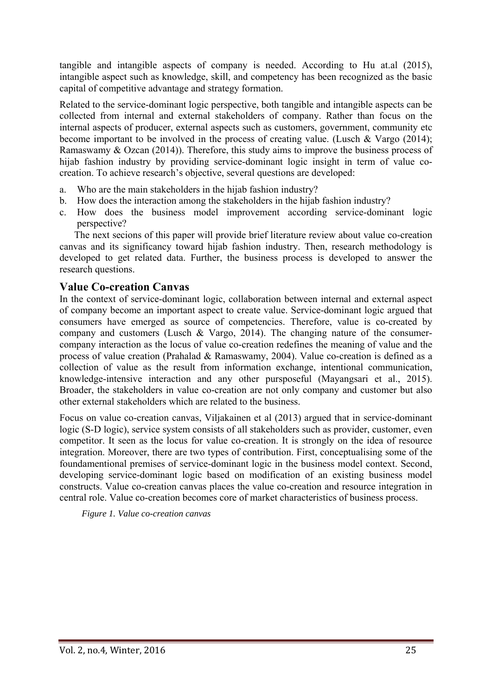tangible and intangible aspects of company is needed. According to Hu at.al (2015), intangible aspect such as knowledge, skill, and competency has been recognized as the basic capital of competitive advantage and strategy formation.

Related to the service-dominant logic perspective, both tangible and intangible aspects can be collected from internal and external stakeholders of company. Rather than focus on the internal aspects of producer, external aspects such as customers, government, community etc become important to be involved in the process of creating value. (Lusch & Vargo (2014); Ramaswamy & Ozcan (2014)). Therefore, this study aims to improve the business process of hijab fashion industry by providing service-dominant logic insight in term of value cocreation. To achieve research's objective, several questions are developed:

- a. Who are the main stakeholders in the hijab fashion industry?
- b. How does the interaction among the stakeholders in the hijab fashion industry?
- c. How does the business model improvement according service-dominant logic perspective?

The next secions of this paper will provide brief literature review about value co-creation canvas and its significancy toward hijab fashion industry. Then, research methodology is developed to get related data. Further, the business process is developed to answer the research questions.

#### **Value Co-creation Canvas**

In the context of service-dominant logic, collaboration between internal and external aspect of company become an important aspect to create value. Service-dominant logic argued that consumers have emerged as source of competencies. Therefore, value is co-created by company and customers (Lusch & Vargo, 2014). The changing nature of the consumercompany interaction as the locus of value co-creation redefines the meaning of value and the process of value creation (Prahalad & Ramaswamy, 2004). Value co-creation is defined as a collection of value as the result from information exchange, intentional communication, knowledge-intensive interaction and any other pursposeful (Mayangsari et al., 2015). Broader, the stakeholders in value co-creation are not only company and customer but also other external stakeholders which are related to the business.

Focus on value co-creation canvas, Viljakainen et al (2013) argued that in service-dominant logic (S-D logic), service system consists of all stakeholders such as provider, customer, even competitor. It seen as the locus for value co-creation. It is strongly on the idea of resource integration. Moreover, there are two types of contribution. First, conceptualising some of the foundamentional premises of service-dominant logic in the business model context. Second, developing service-dominant logic based on modification of an existing business model constructs. Value co-creation canvas places the value co-creation and resource integration in central role. Value co-creation becomes core of market characteristics of business process.

*Figure 1. Value co-creation canvas*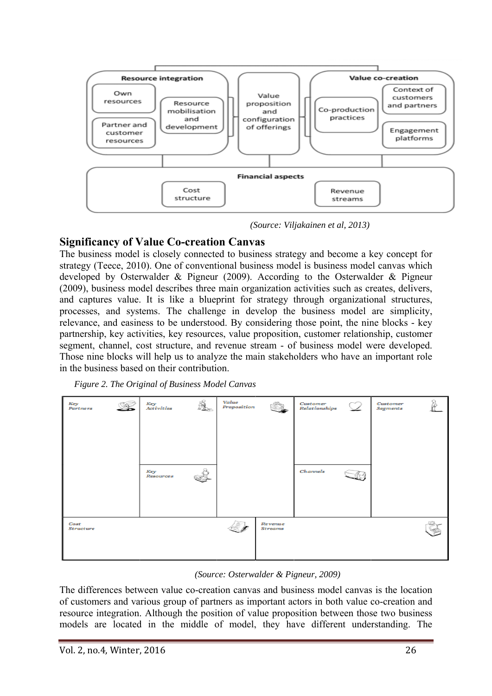

*(Source: Viljakainen et al, 2013)*

# **Significancy of Value Co-creation Canvas**

The business model is closely connected to business strategy and become a key concept for strategy (Teece, 2010). One of conventional business model is business model canvas which developed by Osterwalder & Pigneur (2009). According to the Osterwalder & Pigneur (2009), business model describes three main organization activities such as creates, delivers, and captures value. It is like a blueprint for strategy through organizational structures, processes, and systems. The challenge in develop the business model are simplicity, relevance, and easiness to be understood. By considering those point, the nine blocks - key partnership, key activities, key resources, value proposition, customer relationship, customer segment, channel, cost structure, and revenue stream - of business model were developed. Those nine blocks will help us to analyze the main stakeholders who have an important role in the business based on their contribution.





#### *(Source: Osterwalder & Pigneur, 2009)*

The differences between value co-creation canvas and business model canvas is the location of customers and various group of partners as important actors in both value co-creation and resource integration. Although the position of value proposition between those two business models are located in the middle of model, they have different understanding. The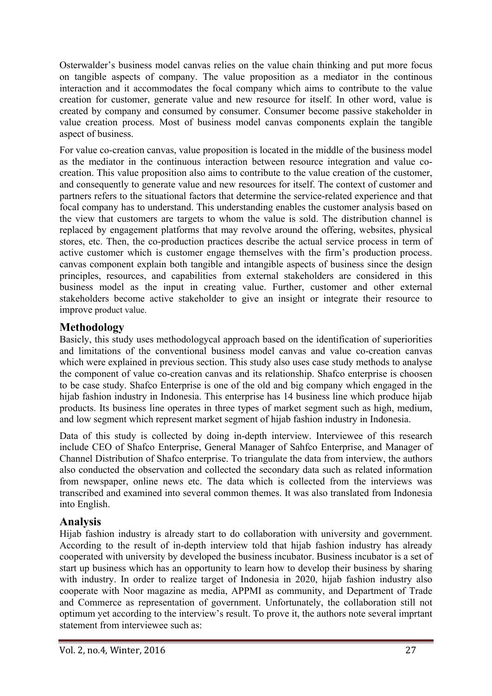Osterwalder's business model canvas relies on the value chain thinking and put more focus on tangible aspects of company. The value proposition as a mediator in the continous interaction and it accommodates the focal company which aims to contribute to the value creation for customer, generate value and new resource for itself. In other word, value is created by company and consumed by consumer. Consumer become passive stakeholder in value creation process. Most of business model canvas components explain the tangible aspect of business.

For value co-creation canvas, value proposition is located in the middle of the business model as the mediator in the continuous interaction between resource integration and value cocreation. This value proposition also aims to contribute to the value creation of the customer, and consequently to generate value and new resources for itself. The context of customer and partners refers to the situational factors that determine the service-related experience and that focal company has to understand. This understanding enables the customer analysis based on the view that customers are targets to whom the value is sold. The distribution channel is replaced by engagement platforms that may revolve around the offering, websites, physical stores, etc. Then, the co-production practices describe the actual service process in term of active customer which is customer engage themselves with the firm's production process. canvas component explain both tangible and intangible aspects of business since the design principles, resources, and capabilities from external stakeholders are considered in this business model as the input in creating value. Further, customer and other external stakeholders become active stakeholder to give an insight or integrate their resource to improve product value.

# **Methodology**

Basicly, this study uses methodologycal approach based on the identification of superiorities and limitations of the conventional business model canvas and value co-creation canvas which were explained in previous section. This study also uses case study methods to analyse the component of value co-creation canvas and its relationship. Shafco enterprise is choosen to be case study. Shafco Enterprise is one of the old and big company which engaged in the hijab fashion industry in Indonesia. This enterprise has 14 business line which produce hijab products. Its business line operates in three types of market segment such as high, medium, and low segment which represent market segment of hijab fashion industry in Indonesia.

Data of this study is collected by doing in-depth interview. Interviewee of this research include CEO of Shafco Enterprise, General Manager of Sahfco Enterprise, and Manager of Channel Distribution of Shafco enterprise. To triangulate the data from interview, the authors also conducted the observation and collected the secondary data such as related information from newspaper, online news etc. The data which is collected from the interviews was transcribed and examined into several common themes. It was also translated from Indonesia into English.

# **Analysis**

Hijab fashion industry is already start to do collaboration with university and government. According to the result of in-depth interview told that hijab fashion industry has already cooperated with university by developed the business incubator. Business incubator is a set of start up business which has an opportunity to learn how to develop their business by sharing with industry. In order to realize target of Indonesia in 2020, hijab fashion industry also cooperate with Noor magazine as media, APPMI as community, and Department of Trade and Commerce as representation of government. Unfortunately, the collaboration still not optimum yet according to the interview's result. To prove it, the authors note several imprtant statement from interviewee such as: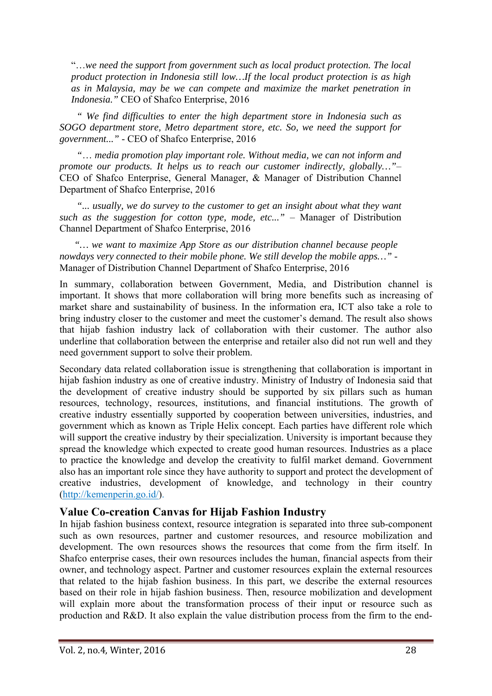"…*we need the support from government such as local product protection. The local product protection in Indonesia still low…If the local product protection is as high as in Malaysia, may be we can compete and maximize the market penetration in Indonesia."* CEO of Shafco Enterprise, 2016

 *" We find difficulties to enter the high department store in Indonesia such as SOGO department store, Metro department store, etc. So, we need the support for government..."* - CEO of Shafco Enterprise, 2016

 *"*… *media promotion play important role. Without media, we can not inform and promote our products. It helps us to reach our customer indirectly, globally…"*– CEO of Shafco Enterprise, General Manager, & Manager of Distribution Channel Department of Shafco Enterprise, 2016

 *"... usually, we do survey to the customer to get an insight about what they want such as the suggestion for cotton type, mode, etc..."* – Manager of Distribution Channel Department of Shafco Enterprise, 2016

*"… we want to maximize App Store as our distribution channel because people nowdays very connected to their mobile phone. We still develop the mobile apps…"* - Manager of Distribution Channel Department of Shafco Enterprise, 2016

In summary, collaboration between Government, Media, and Distribution channel is important. It shows that more collaboration will bring more benefits such as increasing of market share and sustainability of business. In the information era, ICT also take a role to bring industry closer to the customer and meet the customer's demand. The result also shows that hijab fashion industry lack of collaboration with their customer. The author also underline that collaboration between the enterprise and retailer also did not run well and they need government support to solve their problem.

Secondary data related collaboration issue is strengthening that collaboration is important in hijab fashion industry as one of creative industry. Ministry of Industry of Indonesia said that the development of creative industry should be supported by six pillars such as human resources, technology, resources, institutions, and financial institutions. The growth of creative industry essentially supported by cooperation between universities, industries, and government which as known as Triple Helix concept. Each parties have different role which will support the creative industry by their specialization. University is important because they spread the knowledge which expected to create good human resources. Industries as a place to practice the knowledge and develop the creativity to fulfil market demand. Government also has an important role since they have authority to support and protect the development of creative industries, development of knowledge, and technology in their country (http://kemenperin.go.id/).

#### **Value Co-creation Canvas for Hijab Fashion Industry**

In hijab fashion business context, resource integration is separated into three sub-component such as own resources, partner and customer resources, and resource mobilization and development. The own resources shows the resources that come from the firm itself. In Shafco enterprise cases, their own resources includes the human, financial aspects from their owner, and technology aspect. Partner and customer resources explain the external resources that related to the hijab fashion business. In this part, we describe the external resources based on their role in hijab fashion business. Then, resource mobilization and development will explain more about the transformation process of their input or resource such as production and R&D. It also explain the value distribution process from the firm to the end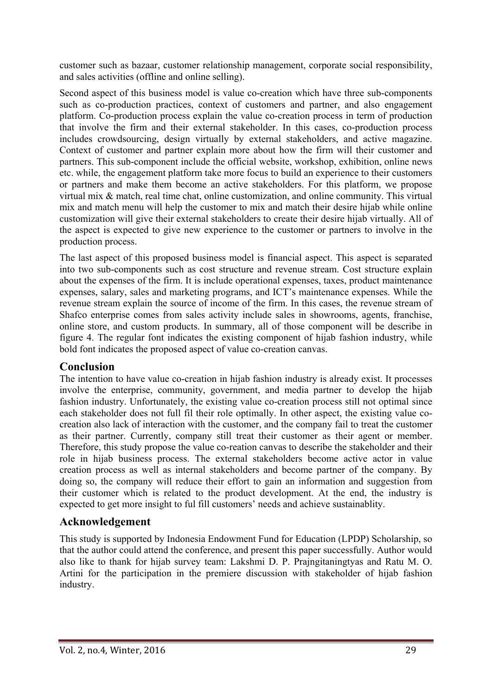customer such as bazaar, customer relationship management, corporate social responsibility, and sales activities (offline and online selling).

Second aspect of this business model is value co-creation which have three sub-components such as co-production practices, context of customers and partner, and also engagement platform. Co-production process explain the value co-creation process in term of production that involve the firm and their external stakeholder. In this cases, co-production process includes crowdsourcing, design virtually by external stakeholders, and active magazine. Context of customer and partner explain more about how the firm will their customer and partners. This sub-component include the official website, workshop, exhibition, online news etc. while, the engagement platform take more focus to build an experience to their customers or partners and make them become an active stakeholders. For this platform, we propose virtual mix & match, real time chat, online customization, and online community. This virtual mix and match menu will help the customer to mix and match their desire hijab while online customization will give their external stakeholders to create their desire hijab virtually. All of the aspect is expected to give new experience to the customer or partners to involve in the production process.

The last aspect of this proposed business model is financial aspect. This aspect is separated into two sub-components such as cost structure and revenue stream. Cost structure explain about the expenses of the firm. It is include operational expenses, taxes, product maintenance expenses, salary, sales and marketing programs, and ICT's maintenance expenses. While the revenue stream explain the source of income of the firm. In this cases, the revenue stream of Shafco enterprise comes from sales activity include sales in showrooms, agents, franchise, online store, and custom products. In summary, all of those component will be describe in figure 4. The regular font indicates the existing component of hijab fashion industry, while bold font indicates the proposed aspect of value co-creation canvas.

## **Conclusion**

The intention to have value co-creation in hijab fashion industry is already exist. It processes involve the enterprise, community, government, and media partner to develop the hijab fashion industry. Unfortunately, the existing value co-creation process still not optimal since each stakeholder does not full fil their role optimally. In other aspect, the existing value cocreation also lack of interaction with the customer, and the company fail to treat the customer as their partner. Currently, company still treat their customer as their agent or member. Therefore, this study propose the value co-reation canvas to describe the stakeholder and their role in hijab business process. The external stakeholders become active actor in value creation process as well as internal stakeholders and become partner of the company. By doing so, the company will reduce their effort to gain an information and suggestion from their customer which is related to the product development. At the end, the industry is expected to get more insight to ful fill customers' needs and achieve sustainablity.

# **Acknowledgement**

This study is supported by Indonesia Endowment Fund for Education (LPDP) Scholarship, so that the author could attend the conference, and present this paper successfully. Author would also like to thank for hijab survey team: Lakshmi D. P. Prajngitaningtyas and Ratu M. O. Artini for the participation in the premiere discussion with stakeholder of hijab fashion industry.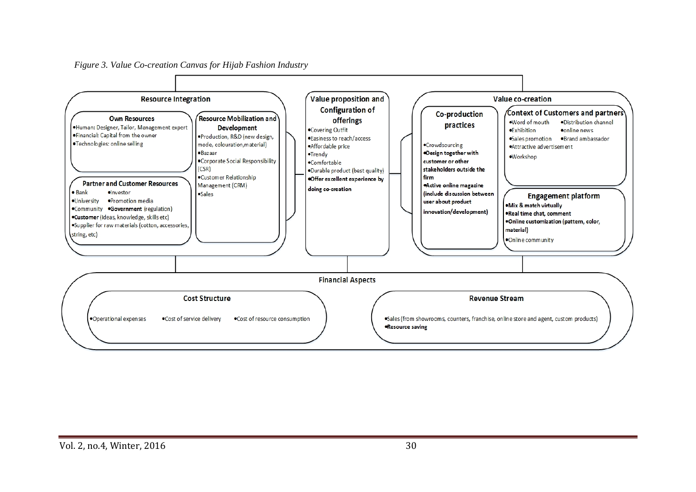*Figure 3. Value Co-creation Canvas for Hijab Fashion Industry*